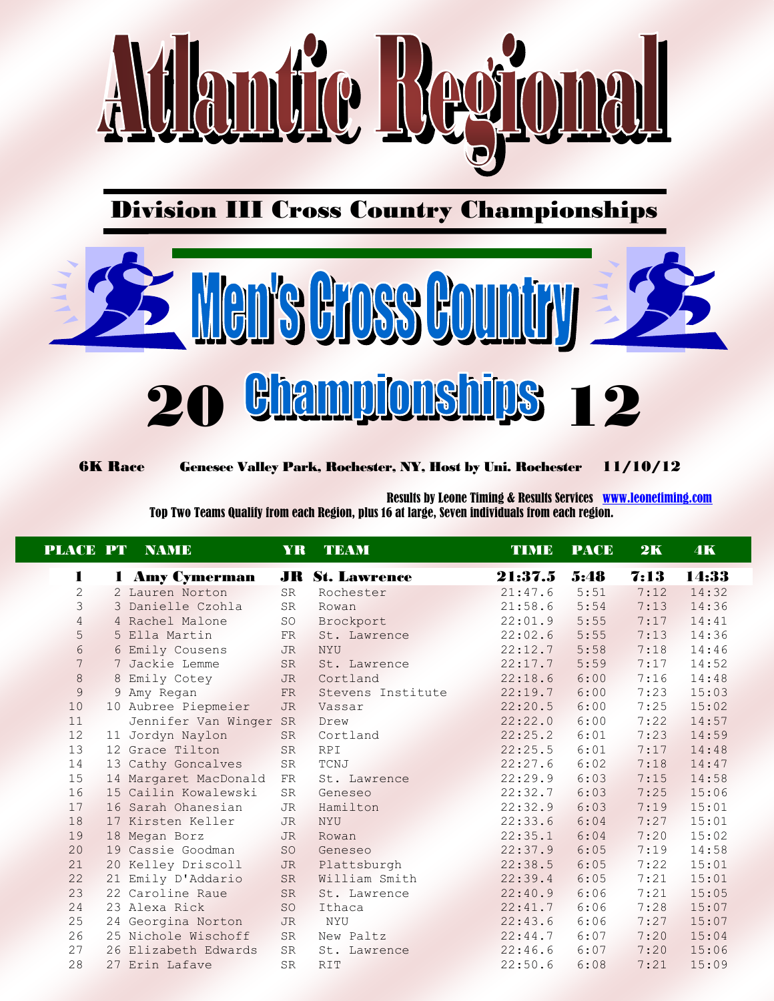

Division III Cross Country Championships



6K Race Genesee Valley Park, Rochester, NY, Host by Uni. Rochester 11/10/12

 Results by Leone Timing & Results Services [www.leonetiming.com](http://www.leonetiming.com/) Top Two Teams Qualify from each Region, plus 16 at large, Seven individuals from each region.

|              | <b>PLACE PT NAME</b>   | YR.       | <b>TEAM</b>            | TIME    | <b>PACE</b> | 2K   | 4K    |
|--------------|------------------------|-----------|------------------------|---------|-------------|------|-------|
| 1            | 1 Amy Cymerman         |           | <b>JR St. Lawrence</b> | 21:37.5 | 5:48        | 7:13 | 14:33 |
| $\mathbf{2}$ | 2 Lauren Norton        | <b>SR</b> | Rochester              | 21:47.6 | 5:51        | 7:12 | 14:32 |
| 3            | 3 Danielle Czohla      | SR        | Rowan                  | 21:58.6 | 5:54        | 7:13 | 14:36 |
| 4            | 4 Rachel Malone        | <b>SO</b> | Brockport              | 22:01.9 | 5:55        | 7:17 | 14:41 |
| 5            | 5 Ella Martin          | FR        | St. Lawrence           | 22:02.6 | 5:55        | 7:13 | 14:36 |
| 6            | 6 Emily Cousens        | JR        | <b>NYU</b>             | 22:12.7 | 5:58        | 7:18 | 14:46 |
| 7            | 7 Jackie Lemme         | SR        | St. Lawrence           | 22:17.7 | 5:59        | 7:17 | 14:52 |
| $\,8\,$      | 8 Emily Cotey          | JR.       | Cortland               | 22:18.6 | 6:00        | 7:16 | 14:48 |
| 9            | 9 Amy Regan            | FR        | Stevens Institute      | 22:19.7 | 6:00        | 7:23 | 15:03 |
| 10           | 10 Aubree Piepmeier    | <b>JR</b> | Vassar                 | 22:20.5 | 6:00        | 7:25 | 15:02 |
| 11           | Jennifer Van Winger SR |           | Drew                   | 22:22.0 | 6:00        | 7:22 | 14:57 |
| 12           | 11 Jordyn Naylon       | <b>SR</b> | Cortland               | 22:25.2 | 6:01        | 7:23 | 14:59 |
| 13           | 12 Grace Tilton        | <b>SR</b> | <b>RPI</b>             | 22:25.5 | 6:01        | 7:17 | 14:48 |
| 14           | 13 Cathy Goncalves     | SR        | TCNJ                   | 22:27.6 | 6:02        | 7:18 | 14:47 |
| 15           | 14 Margaret MacDonald  | FR        | St. Lawrence           | 22:29.9 | 6:03        | 7:15 | 14:58 |
| 16           | 15 Cailin Kowalewski   | SR        | Geneseo                | 22:32.7 | 6:03        | 7:25 | 15:06 |
| 17           | 16 Sarah Ohanesian     | JR        | Hamilton               | 22:32.9 | 6:03        | 7:19 | 15:01 |
| 18           | 17 Kirsten Keller      | <b>JR</b> | <b>NYU</b>             | 22:33.6 | 6:04        | 7:27 | 15:01 |
| 19           | 18 Megan Borz          | <b>JR</b> | Rowan                  | 22:35.1 | 6:04        | 7:20 | 15:02 |
| 20           | 19 Cassie Goodman      | SO        | Geneseo                | 22:37.9 | 6:05        | 7:19 | 14:58 |
| 21           | 20 Kelley Driscoll     | <b>JR</b> | Plattsburgh            | 22:38.5 | 6:05        | 7:22 | 15:01 |
| 22           | 21 Emily D'Addario     | <b>SR</b> | William Smith          | 22:39.4 | 6:05        | 7:21 | 15:01 |
| 23           | 22 Caroline Raue       | <b>SR</b> | St. Lawrence           | 22:40.9 | 6:06        | 7:21 | 15:05 |
| 24           | 23 Alexa Rick          | SO        | Ithaca                 | 22:41.7 | 6:06        | 7:28 | 15:07 |
| 25           | 24 Georgina Norton     | <b>JR</b> | NYU                    | 22:43.6 | 6:06        | 7:27 | 15:07 |
| 26           | 25 Nichole Wischoff    | <b>SR</b> | New Paltz              | 22:44.7 | 6:07        | 7:20 | 15:04 |
| 27           | 26 Elizabeth Edwards   | SR        | St. Lawrence           | 22:46.6 | 6:07        | 7:20 | 15:06 |
| 28           | 27 Erin Lafave         | <b>SR</b> | <b>RIT</b>             | 22:50.6 | 6:08        | 7:21 | 15:09 |
|              |                        |           |                        |         |             |      |       |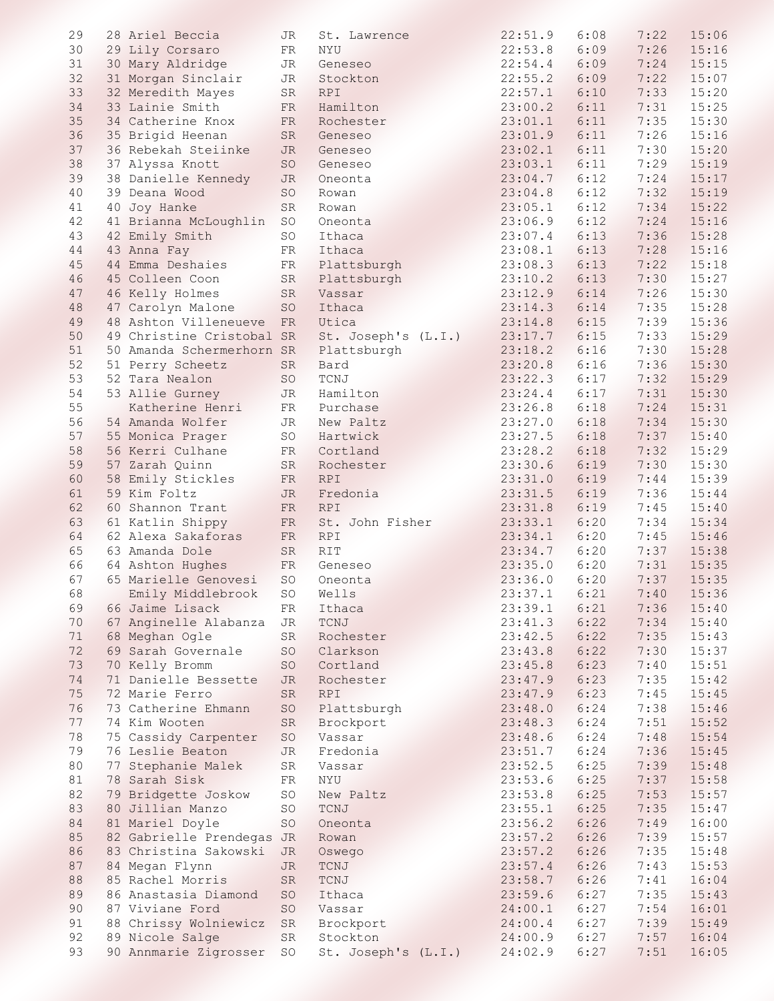| 29 | 28 Ariel Beccia           | JR         | St. Lawrence                            | 22:51.9 | 6:08 | 7:22 | 15:06 |
|----|---------------------------|------------|-----------------------------------------|---------|------|------|-------|
| 30 | 29 Lily Corsaro           | FR         | NYU                                     | 22:53.8 | 6:09 | 7:26 | 15:16 |
| 31 | 30 Mary Aldridge          | JR         | Geneseo                                 | 22:54.4 | 6:09 | 7:24 | 15:15 |
| 32 | 31 Morgan Sinclair        | JR         | Stockton                                | 22:55.2 | 6:09 | 7:22 | 15:07 |
| 33 | 32 Meredith Mayes         | SR         | <b>RPI</b>                              | 22:57.1 | 6:10 | 7:33 | 15:20 |
|    | 33 Lainie Smith           |            |                                         |         |      |      |       |
| 34 |                           | FR         | Hamilton                                | 23:00.2 | 6:11 | 7:31 | 15:25 |
| 35 | 34 Catherine Knox         | ${\rm FR}$ | Rochester                               | 23:01.1 | 6:11 | 7:35 | 15:30 |
| 36 | 35 Brigid Heenan          | SR         | Geneseo                                 | 23:01.9 | 6:11 | 7:26 | 15:16 |
| 37 | 36 Rebekah Steiinke       | JR.        | Geneseo                                 | 23:02.1 | 6:11 | 7:30 | 15:20 |
| 38 | 37 Alyssa Knott           | SO         | Geneseo                                 | 23:03.1 | 6:11 | 7:29 | 15:19 |
| 39 | 38 Danielle Kennedy       | <b>JR</b>  | Oneonta                                 | 23:04.7 | 6:12 | 7:24 | 15:17 |
| 40 | 39 Deana Wood             | <b>SO</b>  | Rowan                                   | 23:04.8 | 6:12 | 7:32 | 15:19 |
| 41 | 40 Joy Hanke              | SR         | Rowan                                   | 23:05.1 | 6:12 | 7:34 | 15:22 |
| 42 | 41 Brianna McLoughlin     | <b>SO</b>  | Oneonta                                 | 23:06.9 | 6:12 | 7:24 | 15:16 |
| 43 | 42 Emily Smith            | SO         | Ithaca                                  | 23:07.4 | 6:13 | 7:36 | 15:28 |
|    |                           |            |                                         |         |      |      |       |
| 44 | 43 Anna Fay               | FR         | Ithaca                                  | 23:08.1 | 6:13 | 7:28 | 15:16 |
| 45 | 44 Emma Deshaies          | FR         | Plattsburgh                             | 23:08.3 | 6:13 | 7:22 | 15:18 |
| 46 | 45 Colleen Coon           | SR         | Plattsburgh                             | 23:10.2 | 6:13 | 7:30 | 15:27 |
| 47 | 46 Kelly Holmes           | SR         | Vassar                                  | 23:12.9 | 6:14 | 7:26 | 15:30 |
| 48 | 47 Carolyn Malone         | SO         | Ithaca                                  | 23:14.3 | 6:14 | 7:35 | 15:28 |
| 49 | 48 Ashton Villeneueve     | FR         | Utica                                   | 23:14.8 | 6:15 | 7:39 | 15:36 |
| 50 | 49 Christine Cristobal SR |            | St. Joseph's (L.I.)                     | 23:17.7 | 6:15 | 7:33 | 15:29 |
| 51 | 50 Amanda Schermerhorn SR |            | Plattsburgh                             | 23:18.2 | 6:16 | 7:30 | 15:28 |
| 52 | 51 Perry Scheetz          | SR         | Bard                                    | 23:20.8 | 6:16 | 7:36 | 15:30 |
| 53 | 52 Tara Nealon            | SO         | $\ensuremath{\mathop{\text{\rm TCNJ}}}$ | 23:22.3 | 6:17 | 7:32 | 15:29 |
|    |                           |            |                                         |         |      |      |       |
| 54 | 53 Allie Gurney           | JR         | Hamilton                                | 23:24.4 | 6:17 | 7:31 | 15:30 |
| 55 | Katherine Henri           | FR         | Purchase                                | 23:26.8 | 6:18 | 7:24 | 15:31 |
| 56 | 54 Amanda Wolfer          | JR         | New Paltz                               | 23:27.0 | 6:18 | 7:34 | 15:30 |
| 57 | 55 Monica Prager          | SO         | Hartwick                                | 23:27.5 | 6:18 | 7:37 | 15:40 |
| 58 | 56 Kerri Culhane          | FR         | Cortland                                | 23:28.2 | 6:18 | 7:32 | 15:29 |
| 59 | 57 Zarah Quinn            | SR         | Rochester                               | 23:30.6 | 6:19 | 7:30 | 15:30 |
| 60 | 58 Emily Stickles         | FR         | <b>RPI</b>                              | 23:31.0 | 6:19 | 7:44 | 15:39 |
| 61 | 59 Kim Foltz              | JR.        | Fredonia                                | 23:31.5 | 6:19 | 7:36 | 15:44 |
| 62 | 60 Shannon Trant          | ${\rm FR}$ | <b>RPI</b>                              | 23:31.8 | 6:19 | 7:45 | 15:40 |
| 63 |                           |            |                                         | 23:33.1 | 6:20 | 7:34 | 15:34 |
|    | 61 Katlin Shippy          | FR         | St. John Fisher                         |         |      |      |       |
| 64 | 62 Alexa Sakaforas        | FR         | <b>RPI</b>                              | 23:34.1 | 6:20 | 7:45 | 15:46 |
| 65 | 63 Amanda Dole            | SR         | RIT                                     | 23:34.7 | 6:20 | 7:37 | 15:38 |
| 66 | 64 Ashton Hughes          | ${\rm FR}$ | Geneseo                                 | 23:35.0 | 6:20 | 7:31 | 15:35 |
| 67 | 65 Marielle Genovesi      | SO         | Oneonta                                 | 23:36.0 | 6:20 | 7:37 | 15:35 |
| 68 | Emily Middlebrook         | SO         | Wells                                   | 23:37.1 | 6:21 | 7:40 | 15:36 |
| 69 | 66 Jaime Lisack           | FR         | Ithaca                                  | 23:39.1 | 6:21 | 7:36 | 15:40 |
| 70 | 67 Anginelle Alabanza     | JR         | TCNJ                                    | 23:41.3 | 6:22 | 7:34 | 15:40 |
| 71 | 68 Meghan Ogle            | SR         | Rochester                               | 23:42.5 | 6:22 | 7:35 | 15:43 |
| 72 | 69 Sarah Governale        | SO         | Clarkson                                | 23:43.8 | 6:22 | 7:30 | 15:37 |
| 73 | 70 Kelly Bromm            | SO         | Cortland                                | 23:45.8 | 6:23 | 7:40 | 15:51 |
|    |                           |            |                                         |         |      |      |       |
| 74 | 71 Danielle Bessette      | <b>JR</b>  | Rochester                               | 23:47.9 | 6:23 | 7:35 | 15:42 |
| 75 | 72 Marie Ferro            | SR         | RPI                                     | 23:47.9 | 6:23 | 7:45 | 15:45 |
| 76 | 73 Catherine Ehmann       | $\rm SO$   | Plattsburgh                             | 23:48.0 | 6:24 | 7:38 | 15:46 |
| 77 | 74 Kim Wooten             | SR         | Brockport                               | 23:48.3 | 6:24 | 7:51 | 15:52 |
| 78 | 75 Cassidy Carpenter      | SO         | Vassar                                  | 23:48.6 | 6:24 | 7:48 | 15:54 |
| 79 | 76 Leslie Beaton          | <b>JR</b>  | Fredonia                                | 23:51.7 | 6:24 | 7:36 | 15:45 |
| 80 | 77 Stephanie Malek        | SR         | Vassar                                  | 23:52.5 | 6:25 | 7:39 | 15:48 |
| 81 | 78 Sarah Sisk             | FR         | NYU                                     | 23:53.6 | 6:25 | 7:37 | 15:58 |
| 82 | 79 Bridgette Joskow       | SO         | New Paltz                               | 23:53.8 | 6:25 | 7:53 | 15:57 |
| 83 |                           |            |                                         |         | 6:25 | 7:35 |       |
|    | 80 Jillian Manzo          | SO         | TCNJ                                    | 23:55.1 |      |      | 15:47 |
| 84 | 81 Mariel Doyle           | SO         | Oneonta                                 | 23:56.2 | 6:26 | 7:49 | 16:00 |
| 85 | 82 Gabrielle Prendegas JR |            | Rowan                                   | 23:57.2 | 6:26 | 7:39 | 15:57 |
| 86 | 83 Christina Sakowski     | <b>JR</b>  | Oswego                                  | 23:57.2 | 6:26 | 7:35 | 15:48 |
| 87 | 84 Megan Flynn            | JR         | TCNJ                                    | 23:57.4 | 6:26 | 7:43 | 15:53 |
| 88 | 85 Rachel Morris          | SR         | TCNJ                                    | 23:58.7 | 6:26 | 7:41 | 16:04 |
| 89 | 86 Anastasia Diamond      | SO         | Ithaca                                  | 23:59.6 | 6:27 | 7:35 | 15:43 |
| 90 | 87 Viviane Ford           | SO         | Vassar                                  | 24:00.1 | 6:27 | 7:54 | 16:01 |
| 91 | 88 Chrissy Wolniewicz SR  |            | Brockport                               | 24:00.4 | 6:27 | 7:39 | 15:49 |
| 92 | 89 Nicole Salge           | SR         | Stockton                                | 24:00.9 | 6:27 | 7:57 | 16:04 |
|    |                           |            |                                         |         |      |      |       |
| 93 | 90 Annmarie Zigrosser SO  |            | St. Joseph's (L.I.)                     | 24:02.9 | 6:27 | 7:51 | 16:05 |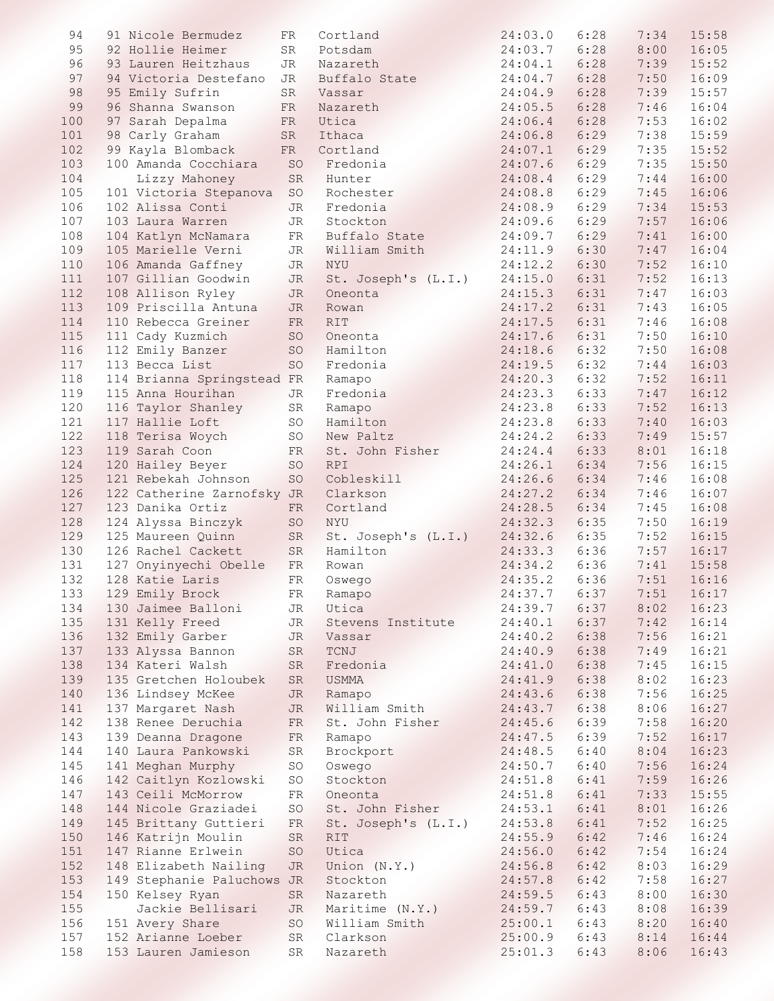| 94  | 91 Nicole Bermudez         | FR         | Cortland            | 24:03.0      | 6:28 | 7:34          | 15:58 |
|-----|----------------------------|------------|---------------------|--------------|------|---------------|-------|
|     |                            |            |                     |              |      |               |       |
| 95  | 92 Hollie Heimer           | SR         | Potsdam             | 24:03.7      | 6:28 | 8:00          | 16:05 |
| 96  | 93 Lauren Heitzhaus        | JR         | Nazareth            | 24:04.1      | 6:28 | 7:39          | 15:52 |
| 97  | 94 Victoria Destefano      | JR         | Buffalo State       | 24:04.7      | 6:28 | 7:50          | 16:09 |
| 98  | 95 Emily Sufrin            | SR         | Vassar              | 24:04.9      | 6:28 | 7:39          | 15:57 |
|     |                            |            |                     |              |      |               |       |
| 99  | 96 Shanna Swanson          | FR         | Nazareth            | 24:05.5      | 6:28 | 7:46          | 16:04 |
| 100 | 97 Sarah Depalma           | ${\rm FR}$ | Utica               | 24:06.4      | 6:28 | 7:53          | 16:02 |
| 101 | 98 Carly Graham            | SR         | Ithaca              | 24:06.8      | 6:29 | 7:38          | 15:59 |
| 102 | 99 Kayla Blomback          | FR         | Cortland            | 24:07.1      | 6:29 | 7:35          | 15:52 |
|     |                            |            |                     |              |      |               |       |
| 103 | 100 Amanda Cocchiara       | SO         | Fredonia            | 24:07.6      | 6:29 | 7:35          | 15:50 |
| 104 | Lizzy Mahoney              | SR         | Hunter              | 24:08.4      | 6:29 | 7:44          | 16:00 |
| 105 | 101 Victoria Stepanova     | SO         | Rochester           | 24:08.8      | 6:29 | 7:45          | 16:06 |
| 106 | 102 Alissa Conti           | JR         | Fredonia            | 24:08.9      | 6:29 | 7:34          | 15:53 |
| 107 |                            |            |                     |              | 6:29 | 7:57          | 16:06 |
|     | 103 Laura Warren           | JR         | Stockton            | 24:09.6      |      |               |       |
| 108 | 104 Katlyn McNamara        | FR         | Buffalo State       | 24:09.7      | 6:29 | 7:41          | 16:00 |
| 109 | 105 Marielle Verni         | JR         | William Smith       | 24:11.9      | 6:30 | 7:47          | 16:04 |
| 110 | 106 Amanda Gaffney         | JR         | NYU                 | 24:12.2      | 6:30 | 7:52          | 16:10 |
| 111 | 107 Gillian Goodwin        | JR         | St. Joseph's (L.I.) | 24:15.0      | 6:31 | 7:52          | 16:13 |
|     |                            |            |                     |              |      |               |       |
| 112 | 108 Allison Ryley          | JR         | Oneonta             | 24:15.3      | 6:31 | 7:47          | 16:03 |
| 113 | 109 Priscilla Antuna       | JR         | Rowan               | 24:17.2      | 6:31 | 7:43          | 16:05 |
| 114 | 110 Rebecca Greiner        | FR         | <b>RIT</b>          | 24:17.5      | 6:31 | 7:46          | 16:08 |
| 115 | 111 Cady Kuzmich           | SO         | Oneonta             | 24:17.6      | 6:31 | 7:50          | 16:10 |
|     | 112 Emily Banzer           |            |                     | 24:18.6      | 6:32 | 7:50          | 16:08 |
| 116 |                            | SO         | Hamilton            |              |      |               |       |
| 117 | 113 Becca List             | SO         | Fredonia            | 24:19.5      | 6:32 | 7:44          | 16:03 |
| 118 | 114 Brianna Springstead FR |            | Ramapo              | 24:20.3      | 6:32 | 7:52          | 16:11 |
| 119 | 115 Anna Hourihan          | JR         | Fredonia            | 24:23.3      | 6:33 | 7:47          | 16:12 |
| 120 | 116 Taylor Shanley         | SR         | Ramapo              | 24:23.8      | 6:33 | 7:52          | 16:13 |
|     |                            |            |                     |              |      |               |       |
| 121 | 117 Hallie Loft            | SO         | Hamilton            | 24:23.8      | 6:33 | 7:40          | 16:03 |
| 122 | 118 Terisa Woych           | SO         | New Paltz           | 24:24.2      | 6:33 | 7:49          | 15:57 |
| 123 | 119 Sarah Coon             | FR         | St. John Fisher     | 24:24.4      | 6:33 | 8:01          | 16:18 |
| 124 | 120 Hailey Beyer           | SO         | <b>RPI</b>          | 24:26.1      | 6:34 | 7:56          | 16:15 |
| 125 | 121 Rebekah Johnson        | SO         | Cobleskill          | 24:26.6      | 6:34 | 7:46          | 16:08 |
| 126 |                            |            |                     |              |      |               |       |
|     | 122 Catherine Zarnofsky JR |            | Clarkson            | 24:27.2      | 6:34 | 7:46          | 16:07 |
| 127 | 123 Danika Ortiz           | FR         | Cortland            | 24:28.5      | 6:34 | 7:45          | 16:08 |
| 128 | 124 Alyssa Binczyk         | SO         | <b>NYU</b>          | 24:32.3      | 6:35 | 7:50          | 16:19 |
| 129 | 125 Maureen Quinn          | ${\rm SR}$ | St. Joseph's (L.I.) | 24:32.6      | 6:35 | 7:52          | 16:15 |
| 130 | 126 Rachel Cackett         | SR         | Hamilton            | 24:33.3      | 6:36 | 7:57          | 16:17 |
| 131 | 127 Onyinyechi Obelle      | FR         | Rowan               | 24:34.2      | 6:36 | 7:41          | 15:58 |
|     |                            |            |                     |              |      |               | 16:16 |
| 132 | 128 Katie Laris            | FR         | Oswego              | 24:35.2      | 6:36 | 7:51          |       |
| 133 | 129 Emily Brock            | FR         | Ramapo              | 24:37.7 6:37 |      | 7:51          | 16:17 |
| 134 | 130 Jaimee Balloni         | JR         | Utica               | 24:39.7      |      | $6:37$ $8:02$ | 16:23 |
| 135 | 131 Kelly Freed            | JR         | Stevens Institute   | 24:40.1      |      | $6:37$ $7:42$ | 16:14 |
| 136 | 132 Emily Garber           | JR         | Vassar              | 24:40.2      | 6:38 | 7:56          | 16:21 |
| 137 | 133 Alyssa Bannon          |            |                     | 24:40.9      | 6:38 | 7:49          | 16:21 |
|     |                            | SR         | TCNJ                |              |      |               |       |
| 138 | 134 Kateri Walsh           | SR         | Fredonia            | 24:41.0      | 6:38 | 7:45          | 16:15 |
| 139 | 135 Gretchen Holoubek      | SR         | USMMA               | 24:41.9      | 6:38 | 8:02          | 16:23 |
| 140 | 136 Lindsey McKee          | JR         | Ramapo              | 24:43.6      |      | 6:38 7:56     | 16:25 |
| 141 | 137 Margaret Nash          | JR         | William Smith       | 24:43.7      | 6:38 | 8:06          | 16:27 |
|     |                            |            |                     |              |      |               |       |
| 142 | 138 Renee Deruchia         | FR         | St. John Fisher     | 24:45.6      | 6:39 | 7:58          | 16:20 |
| 143 | 139 Deanna Dragone         | FR         | Ramapo              | 24:47.5      | 6:39 | 7:52          | 16:17 |
| 144 | 140 Laura Pankowski        | SR         | Brockport           | 24:48.5      | 6:40 | 8:04          | 16:23 |
| 145 | 141 Meghan Murphy          | SO         | Oswego              | 24:50.7      | 6:40 | 7:56          | 16:24 |
|     |                            |            |                     |              |      |               |       |
| 146 | 142 Caitlyn Kozlowski      | SO         | Stockton            | 24:51.8      | 6:41 | 7:59          | 16:26 |
| 147 | 143 Ceili McMorrow         | FR         | Oneonta             | 24:51.8      | 6:41 | 7:33          | 15:55 |
| 148 | 144 Nicole Graziadei       | SO         | St. John Fisher     | 24:53.1      | 6:41 | 8:01          | 16:26 |
| 149 | 145 Brittany Guttieri      | FR         | St. Joseph's (L.I.) | 24:53.8      | 6:41 | 7:52          | 16:25 |
| 150 | 146 Katrijn Moulin         | SR         | RIT                 | 24:55.9      | 6:42 | 7:46          | 16:24 |
|     |                            |            |                     |              |      |               |       |
| 151 | 147 Rianne Erlwein         | SO         | Utica               | 24:56.0      | 6:42 | 7:54          | 16:24 |
| 152 | 148 Elizabeth Nailing      | JR         | Union (N.Y.)        | 24:56.8      | 6:42 | 8:03          | 16:29 |
| 153 | 149 Stephanie Paluchows JR |            | Stockton            | 24:57.8      | 6:42 | 7:58          | 16:27 |
| 154 | 150 Kelsey Ryan            | SR         | Nazareth            | 24:59.5      | 6:43 | 8:00          | 16:30 |
| 155 | Jackie Bellisari           | JR         | Maritime (N.Y.)     | 24:59.7      | 6:43 | 8:08          | 16:39 |
|     |                            |            |                     |              |      |               |       |
| 156 | 151 Avery Share            | SO         | William Smith       | 25:00.1      | 6:43 | 8:20          | 16:40 |
| 157 | 152 Arianne Loeber         | SR         | Clarkson            | 25:00.9      |      | $6:43$ $8:14$ | 16:44 |
| 158 | 153 Lauren Jamieson        | SR         | Nazareth            | 25:01.3      | 6:43 | 8:06          | 16:43 |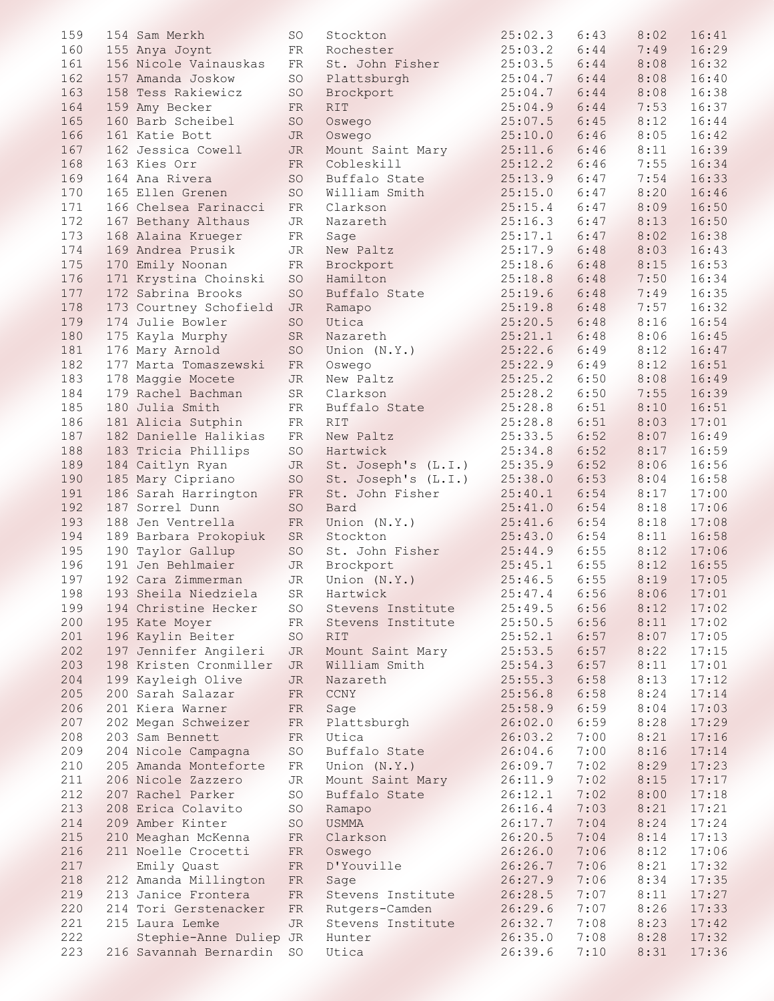| 159 | 154 Sam Merkh             | SO         | Stockton            | 25:02.3           | 6:43 | 8:02 | 16:41 |
|-----|---------------------------|------------|---------------------|-------------------|------|------|-------|
| 160 | 155 Anya Joynt            | FR         | Rochester           | 25:03.2           | 6:44 | 7:49 | 16:29 |
| 161 | 156 Nicole Vainauskas     | FR         | St. John Fisher     | 25:03.5           | 6:44 | 8:08 | 16:32 |
| 162 | 157 Amanda Joskow         | SO         | Plattsburgh         | 25:04.7           | 6:44 | 8:08 | 16:40 |
| 163 | 158 Tess Rakiewicz        | SO         | Brockport           | 25:04.7           | 6:44 | 8:08 | 16:38 |
| 164 | 159 Amy Becker            | FR         | <b>RIT</b>          | 25:04.9           | 6:44 | 7:53 | 16:37 |
| 165 | 160 Barb Scheibel         | SO         | Oswego              | 25:07.5           | 6:45 | 8:12 | 16:44 |
| 166 | 161 Katie Bott            | JR         | Oswego              | 25:10.0           | 6:46 | 8:05 | 16:42 |
| 167 | 162 Jessica Cowell        | JR         | Mount Saint Mary    | 25:11.6           | 6:46 | 8:11 | 16:39 |
| 168 | 163 Kies Orr              | FR         | Cobleskill          | 25:12.2           | 6:46 | 7:55 | 16:34 |
| 169 | 164 Ana Rivera            | SO         | Buffalo State       | 25:13.9           | 6:47 | 7:54 | 16:33 |
| 170 | 165 Ellen Grenen          | SO         | William Smith       | 25:15.0           | 6:47 | 8:20 | 16:46 |
| 171 | 166 Chelsea Farinacci     |            | Clarkson            | 25:15.4           | 6:47 | 8:09 | 16:50 |
|     |                           | FR         |                     |                   |      |      |       |
| 172 | 167 Bethany Althaus       | JR         | Nazareth            | 25:16.3           | 6:47 | 8:13 | 16:50 |
| 173 | 168 Alaina Krueger        | FR         | Sage                | 25:17.1           | 6:47 | 8:02 | 16:38 |
| 174 | 169 Andrea Prusik         | JR         | New Paltz           | 25:17.9           | 6:48 | 8:03 | 16:43 |
| 175 | 170 Emily Noonan          | ${\rm FR}$ | Brockport           | 25:18.6           | 6:48 | 8:15 | 16:53 |
| 176 | 171 Krystina Choinski     | SO         | Hamilton            | 25:18.8           | 6:48 | 7:50 | 16:34 |
| 177 | 172 Sabrina Brooks        | SO         | Buffalo State       | 25:19.6           | 6:48 | 7:49 | 16:35 |
| 178 | 173 Courtney Schofield    | JR         | Ramapo              | 25:19.8           | 6:48 | 7:57 | 16:32 |
| 179 | 174 Julie Bowler          | SO         | Utica               | 25:20.5           | 6:48 | 8:16 | 16:54 |
| 180 | 175 Kayla Murphy          | SR         | Nazareth            | 25:21.1           | 6:48 | 8:06 | 16:45 |
| 181 | 176 Mary Arnold           | SO         | Union (N.Y.)        | 25:22.6           | 6:49 | 8:12 | 16:47 |
| 182 | 177 Marta Tomaszewski     | FR         | Oswego              | 25:22.9           | 6:49 | 8:12 | 16:51 |
| 183 | 178 Maggie Mocete         | JR         | New Paltz           | 25:25.2           | 6:50 | 8:08 | 16:49 |
| 184 | 179 Rachel Bachman        | SR         | Clarkson            | 25:28.2           | 6:50 | 7:55 | 16:39 |
| 185 | 180 Julia Smith           | ${\rm FR}$ | Buffalo State       | 25:28.8           | 6:51 | 8:10 | 16:51 |
| 186 | 181 Alicia Sutphin        | FR         | <b>RIT</b>          | 25:28.8           | 6:51 | 8:03 | 17:01 |
| 187 | 182 Danielle Halikias     | FR         | New Paltz           | 25:33.5           | 6:52 | 8:07 | 16:49 |
| 188 | 183 Tricia Phillips       | SO         | Hartwick            | 25:34.8           | 6:52 | 8:17 | 16:59 |
| 189 | 184 Caitlyn Ryan          | JR         | St. Joseph's (L.I.) | 25:35.9           | 6:52 | 8:06 | 16:56 |
| 190 | 185 Mary Cipriano         | SO         | St. Joseph's (L.I.) | 25:38.0           | 6:53 | 8:04 | 16:58 |
| 191 |                           |            | St. John Fisher     | 25:40.1           | 6:54 | 8:17 | 17:00 |
|     | 186 Sarah Harrington      | FR         |                     |                   |      |      |       |
| 192 | 187 Sorrel Dunn           | SO         | Bard                | 25:41.0           | 6:54 | 8:18 | 17:06 |
| 193 | 188 Jen Ventrella         | ${\rm FR}$ | Union (N.Y.)        | 25:41.6           | 6:54 | 8:18 | 17:08 |
| 194 | 189 Barbara Prokopiuk     | SR         | Stockton            | 25:43.0           | 6:54 | 8:11 | 16:58 |
| 195 | 190 Taylor Gallup         | SO         | St. John Fisher     | 25:44.9           | 6:55 | 8:12 | 17:06 |
| 196 | 191 Jen Behlmaier         | JR         | Brockport           | 25:45.1           | 6:55 | 8:12 | 16:55 |
| 197 | 192 Cara Zimmerman        | JR         | Union (N.Y.)        | 25:46.5           | 6:55 | 8:19 | 17:05 |
| 198 | 193 Sheila Niedziela      | SR         | Hartwick            | 25:47.4 6:56 8:06 |      |      | 17:01 |
| 199 | 194 Christine Hecker      | SO         | Stevens Institute   | 25:49.5           | 6:56 | 8:12 | 17:02 |
| 200 | 195 Kate Moyer            | FR         | Stevens Institute   | 25:50.5           | 6:56 | 8:11 | 17:02 |
| 201 | 196 Kaylin Beiter         | SO         | <b>RIT</b>          | 25:52.1           | 6:57 | 8:07 | 17:05 |
| 202 | 197 Jennifer Angileri     | JR         | Mount Saint Mary    | 25:53.5           | 6:57 | 8:22 | 17:15 |
| 203 | 198 Kristen Cronmiller    | JR         | William Smith       | 25:54.3           | 6:57 | 8:11 | 17:01 |
| 204 | 199 Kayleigh Olive        | JR         | Nazareth            | 25:55.3           | 6:58 | 8:13 | 17:12 |
| 205 | 200 Sarah Salazar         | FR         | $CCNY$              | 25:56.8           | 6:58 | 8:24 | 17:14 |
| 206 | 201 Kiera Warner          | FR         | Sage                | 25:58.9           | 6:59 | 8:04 | 17:03 |
| 207 | 202 Megan Schweizer       | ${\rm FR}$ | Plattsburgh         | 26:02.0           | 6:59 | 8:28 | 17:29 |
| 208 | 203 Sam Bennett           | FR         | Utica               | 26:03.2           | 7:00 | 8:21 | 17:16 |
| 209 | 204 Nicole Campagna       | SO         | Buffalo State       | 26:04.6           | 7:00 | 8:16 | 17:14 |
| 210 | 205 Amanda Monteforte     | FR         | Union (N.Y.)        | 26:09.7           | 7:02 | 8:29 | 17:23 |
| 211 | 206 Nicole Zazzero        | JR         | Mount Saint Mary    | 26:11.9           | 7:02 | 8:15 | 17:17 |
| 212 | 207 Rachel Parker         |            |                     |                   | 7:02 | 8:00 | 17:18 |
| 213 | 208 Erica Colavito        | SO         | Buffalo State       | 26:12.1           | 7:03 |      | 17:21 |
|     |                           | SO         | Ramapo              | 26:16.4           |      | 8:21 |       |
| 214 | 209 Amber Kinter          | SO         | USMMA               | 26:17.7           | 7:04 | 8:24 | 17:24 |
| 215 | 210 Meaghan McKenna       | FR         | Clarkson            | 26:20.5           | 7:04 | 8:14 | 17:13 |
| 216 | 211 Noelle Crocetti       | FR         | Oswego              | 26:26.0           | 7:06 | 8:12 | 17:06 |
| 217 | Emily Quast               | FR         | D'Youville          | 26:26.7           | 7:06 | 8:21 | 17:32 |
| 218 | 212 Amanda Millington     | ${\rm FR}$ | Sage                | 26:27.9           | 7:06 | 8:34 | 17:35 |
| 219 | 213 Janice Frontera       | FR         | Stevens Institute   | 26:28.5           | 7:07 | 8:11 | 17:27 |
| 220 | 214 Tori Gerstenacker     | FR         | Rutgers-Camden      | 26:29.6           | 7:07 | 8:26 | 17:33 |
| 221 | 215 Laura Lemke           | <b>JR</b>  | Stevens Institute   | 26:32.7           | 7:08 | 8:23 | 17:42 |
| 222 | Stephie-Anne Duliep JR    |            | Hunter              | 26:35.0           | 7:08 | 8:28 | 17:32 |
| 223 | 216 Savannah Bernardin SO |            | Utica               | 26:39.6           | 7:10 | 8:31 | 17:36 |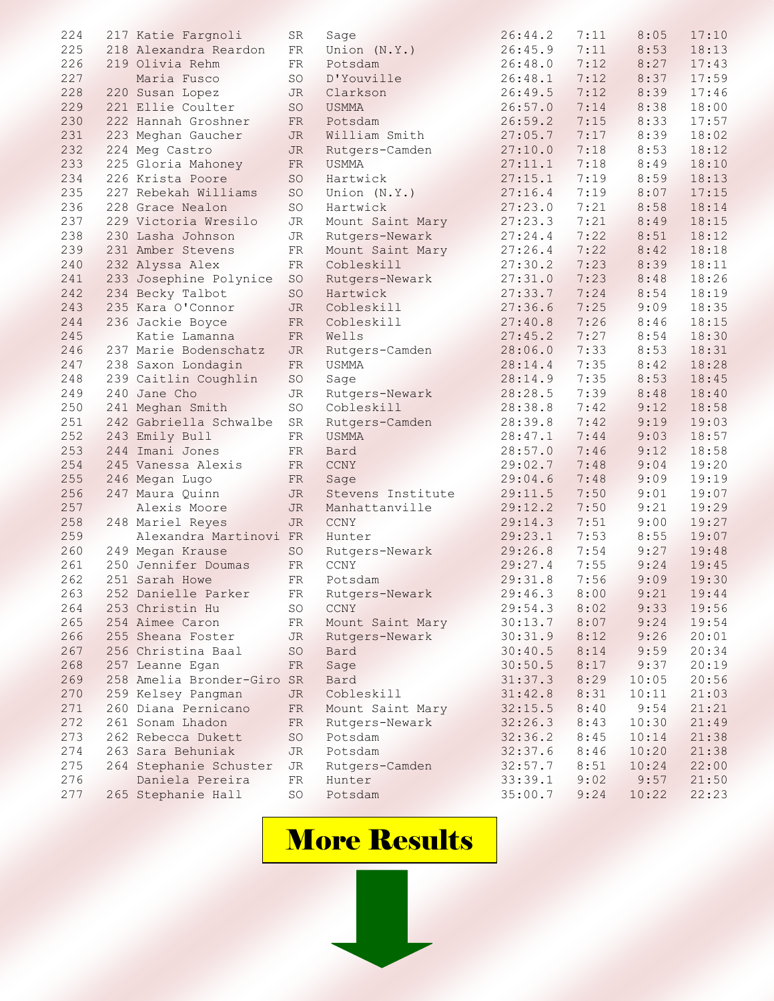| 224 | 217 Katie Fargnoli                         | SR         | Sage                      | 26:44.2 | 7:11 | 8:05  | 17:10 |
|-----|--------------------------------------------|------------|---------------------------|---------|------|-------|-------|
| 225 | 218 Alexandra Reardon                      | ${\rm FR}$ | Union (N.Y.)              | 26:45.9 | 7:11 | 8:53  | 18:13 |
| 226 | 219 Olivia Rehm                            | FR         | Potsdam                   | 26:48.0 | 7:12 | 8:27  | 17:43 |
| 227 | Maria Fusco                                | SO         | D'Youville                | 26:48.1 | 7:12 | 8:37  | 17:59 |
| 228 | 220 Susan Lopez                            | JR         | Clarkson                  | 26:49.5 | 7:12 | 8:39  | 17:46 |
| 229 | 221 Ellie Coulter                          | SO         | <b>USMMA</b>              | 26:57.0 | 7:14 | 8:38  | 18:00 |
| 230 | 222 Hannah Groshner                        | FR         | Potsdam                   | 26:59.2 | 7:15 | 8:33  | 17:57 |
| 231 | 223 Meghan Gaucher                         | JR         | William Smith             | 27:05.7 | 7:17 | 8:39  | 18:02 |
| 232 | 224 Meg Castro                             | JR         | Rutgers-Camden            | 27:10.0 | 7:18 | 8:53  | 18:12 |
| 233 | 225 Gloria Mahoney                         | FR         | <b>USMMA</b>              | 27:11.1 | 7:18 | 8:49  | 18:10 |
| 234 | 226 Krista Poore                           | SO         | Hartwick                  | 27:15.1 | 7:19 | 8:59  | 18:13 |
| 235 | 227 Rebekah Williams                       | SO         | Union (N.Y.)              | 27:16.4 | 7:19 | 8:07  | 17:15 |
| 236 | 228 Grace Nealon                           | SO         | Hartwick                  | 27:23.0 | 7:21 | 8:58  | 18:14 |
| 237 | 229 Victoria Wresilo                       | JR         | Mount Saint Mary          | 27:23.3 | 7:21 | 8:49  | 18:15 |
| 238 | 230 Lasha Johnson                          | JR         | Rutgers-Newark            | 27:24.4 | 7:22 | 8:51  | 18:12 |
| 239 | 231 Amber Stevens                          | ${\rm FR}$ | Mount Saint Mary          | 27:26.4 | 7:22 | 8:42  | 18:18 |
| 240 | 232 Alyssa Alex                            | ${\rm FR}$ | Cobleskill                | 27:30.2 | 7:23 | 8:39  | 18:11 |
| 241 | 233 Josephine Polynice                     | SO         | Rutgers-Newark            | 27:31.0 | 7:23 | 8:48  | 18:26 |
| 242 | 234 Becky Talbot                           | SO         | Hartwick                  | 27:33.7 | 7:24 | 8:54  | 18:19 |
| 243 | 235 Kara O'Connor                          | JR         | Cobleskill                | 27:36.6 | 7:25 | 9:09  | 18:35 |
| 244 | 236 Jackie Boyce                           | FR         | Cobleskill                | 27:40.8 | 7:26 | 8:46  | 18:15 |
| 245 | Katie Lamanna                              | FR         | Wells                     | 27:45.2 | 7:27 | 8:54  | 18:30 |
| 246 | 237 Marie Bodenschatz                      | JR         | Rutgers-Camden            | 28:06.0 | 7:33 | 8:53  | 18:31 |
| 247 | 238 Saxon Londagin                         | ${\rm FR}$ | <b>USMMA</b>              | 28:14.4 | 7:35 | 8:42  | 18:28 |
| 248 | 239 Caitlin Coughlin                       | SO.        | Sage                      | 28:14.9 | 7:35 | 8:53  | 18:45 |
| 249 | 240 Jane Cho                               | JR         | Rutgers-Newark            | 28:28.5 | 7:39 | 8:48  | 18:40 |
| 250 | 241 Meghan Smith                           | SO         | Cobleskill                | 28:38.8 | 7:42 | 9:12  | 18:58 |
| 251 | 242 Gabriella Schwalbe                     | SR         | Rutgers-Camden            | 28:39.8 | 7:42 | 9:19  | 19:03 |
| 252 | 243 Emily Bull                             | FR         | <b>USMMA</b>              | 28:47.1 | 7:44 | 9:03  | 18:57 |
| 253 | 244 Imani Jones                            | FR         | Bard                      | 28:57.0 | 7:46 | 9:12  | 18:58 |
| 254 | 245 Vanessa Alexis                         | FR         | CCNY                      | 29:02.7 | 7:48 | 9:04  | 19:20 |
| 255 |                                            |            |                           | 29:04.6 | 7:48 | 9:09  | 19:19 |
| 256 | 246 Megan Lugo<br>247 Maura Quinn          | FR<br>JR   | Sage<br>Stevens Institute | 29:11.5 | 7:50 | 9:01  | 19:07 |
| 257 | Alexis Moore                               | <b>JR</b>  |                           | 29:12.2 | 7:50 | 9:21  | 19:29 |
| 258 |                                            | JR         | Manhattanville<br>CCNY    | 29:14.3 | 7:51 | 9:00  | 19:27 |
| 259 | 248 Mariel Reyes<br>Alexandra Martinovi FR |            | Hunter                    | 29:23.1 | 7:53 | 8:55  | 19:07 |
| 260 |                                            |            |                           | 29:26.8 | 7:54 | 9:27  | 19:48 |
|     | 249 Megan Krause                           | SO         | Rutgers-Newark<br>CCNY    |         |      |       |       |
| 261 | 250 Jennifer Doumas                        | FR         |                           | 29:27.4 | 7:55 | 9:24  | 19:45 |
| 262 | 251 Sarah Howe                             | FR         | Potsdam                   | 29:31.8 | 7:56 | 9:09  | 19:30 |
| 263 | 252 Danielle Parker                        | FR         | Rutgers-Newark            | 29:46.3 | 8:00 | 9:21  | 19:44 |
| 264 | 253 Christin Hu                            | SO         | <b>CCNY</b>               | 29:54.3 | 8:02 | 9:33  | 19:56 |
| 265 | 254 Aimee Caron                            | FR         | Mount Saint Mary          | 30:13.7 | 8:07 | 9:24  | 19:54 |
| 266 | 255 Sheana Foster                          | JR         | Rutgers-Newark            | 30:31.9 | 8:12 | 9:26  | 20:01 |
| 267 | 256 Christina Baal                         | SO         | Bard                      | 30:40.5 | 8:14 | 9:59  | 20:34 |
| 268 | 257 Leanne Egan                            | FR         | Sage                      | 30:50.5 | 8:17 | 9:37  | 20:19 |
| 269 | 258 Amelia Bronder-Giro SR                 |            | Bard                      | 31:37.3 | 8:29 | 10:05 | 20:56 |
| 270 | 259 Kelsey Pangman                         | JR         | Cobleskill                | 31:42.8 | 8:31 | 10:11 | 21:03 |
| 271 | 260 Diana Pernicano                        | FR         | Mount Saint Mary          | 32:15.5 | 8:40 | 9:54  | 21:21 |
| 272 | 261 Sonam Lhadon                           | FR         | Rutgers-Newark            | 32:26.3 | 8:43 | 10:30 | 21:49 |
| 273 | 262 Rebecca Dukett                         | SO         | Potsdam                   | 32:36.2 | 8:45 | 10:14 | 21:38 |
| 274 | 263 Sara Behuniak                          | JR         | Potsdam                   | 32:37.6 | 8:46 | 10:20 | 21:38 |
| 275 | 264 Stephanie Schuster                     | JR         | Rutgers-Camden            | 32:57.7 | 8:51 | 10:24 | 22:00 |
| 276 | Daniela Pereira                            | FR         | Hunter                    | 33:39.1 | 9:02 | 9:57  | 21:50 |
| 277 | 265 Stephanie Hall                         | SO         | Potsdam                   | 35:00.7 | 9:24 | 10:22 | 22:23 |

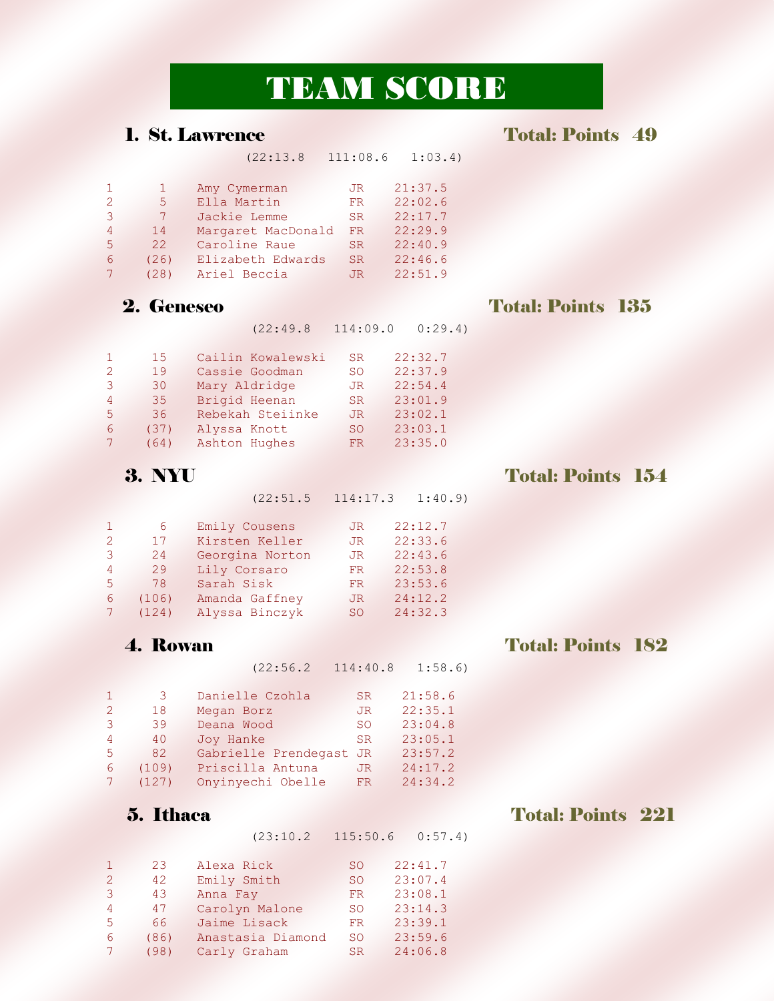# TEAM SCORE

### 1. St. Lawrence Total: Points 49

|   |      | (22:13.8)          | 111:08.6  | 1:03.4  |
|---|------|--------------------|-----------|---------|
|   |      | Amy Cymerman       | JR.       | 21:37.5 |
| 2 | 5    | Ella Martin        | FR        | 22:02.6 |
| 3 |      | Jackie Lemme       | <b>SR</b> | 22:17.7 |
| 4 | 14   | Margaret MacDonald | FR        | 22:29.9 |
| 5 | 22   | Caroline Raue      | <b>SR</b> | 22:40.9 |
| 6 | (26) | Elizabeth Edwards  | <b>SR</b> | 22:46.6 |
|   | (28) | Ariel Beccia       | JR.       | 22:51.9 |

### 2. Geneseo Total: Points 135

(22:49.8 114:09.0 0:29.4)

|                | 15   | Cailin Kowalewski | SR.       | 22:32.7 |
|----------------|------|-------------------|-----------|---------|
| $\mathcal{P}$  | 19   | Cassie Goodman    | <b>SO</b> | 22:37.9 |
| 3              | 30   | Mary Aldridge     | JR.       | 22:54.4 |
| 4              | 35   | Brigid Heenan     | SR.       | 23:01.9 |
| 5.             | 36   | Rebekah Steiinke  | JR.       | 23:02.1 |
| 6              | (37) | Alyssa Knott      | SO.       | 23:03.1 |
| 7 <sup>7</sup> | (64) | Ashton Hughes     | FR.       | 23:35.0 |

### 3. NYU Total: Points 154

(22:51.5 114:17.3 1:40.9)

| $\mathbf{1}$  | 6     | Emily Cousens   | JR  | 22:12.7 |
|---------------|-------|-----------------|-----|---------|
| $\mathcal{P}$ | 17    | Kirsten Keller  | JR. | 22:33.6 |
| २             | 24    | Georgina Norton | JR. | 22:43.6 |
| 4             | 29    | Lily Corsaro    | FR. | 22:53.8 |
| 5.            | 78    | Sarah Sisk      | FR. | 23:53.6 |
| 6             | (106) | Amanda Gaffney  | JR. | 24:12.2 |
|               | (124) | Alyssa Binczyk  | SO. | 24:32.3 |

### **4. Rowan Total: Points 182**

(22:56.2 114:40.8 1:58.6)

| 1.            | 3     | Danielle Czohla         | SR. | 21:58.6 |
|---------------|-------|-------------------------|-----|---------|
| $\mathcal{L}$ | 18    | Megan Borz              | JR. | 22:35.1 |
| 3             | 39    | Deana Wood              | SO. | 23:04.8 |
| 4             | 40    | Joy Hanke               | SR. | 23:05.1 |
| 5             | 82    | Gabrielle Prendegast JR |     | 23:57.2 |
| 6             | (109) | Priscilla Antuna        | JR. | 24:17.2 |
|               | (127) | Onyinyechi Obelle       | FR. | 24:34.2 |

(23:10.2 115:50.6 0:57.4)

|    | 23   | Alexa Rick        | SO.           | 22:41.7 |
|----|------|-------------------|---------------|---------|
| 2  | 42   | Emily Smith       | <sub>SO</sub> | 23:07.4 |
| 3  | 43   | Anna Fay          | FR.           | 23:08.1 |
| 4  | 47   | Carolyn Malone    | SO.           | 23:14.3 |
| 5. | 66.  | Jaime Lisack      | FR.           | 23:39.1 |
| 6  | (86) | Anastasia Diamond | <b>SO</b>     | 23:59.6 |
|    | (98) | Carly Graham      | SR.           | 24:06.8 |
|    |      |                   |               |         |

## 5. Ithaca Total: Points 221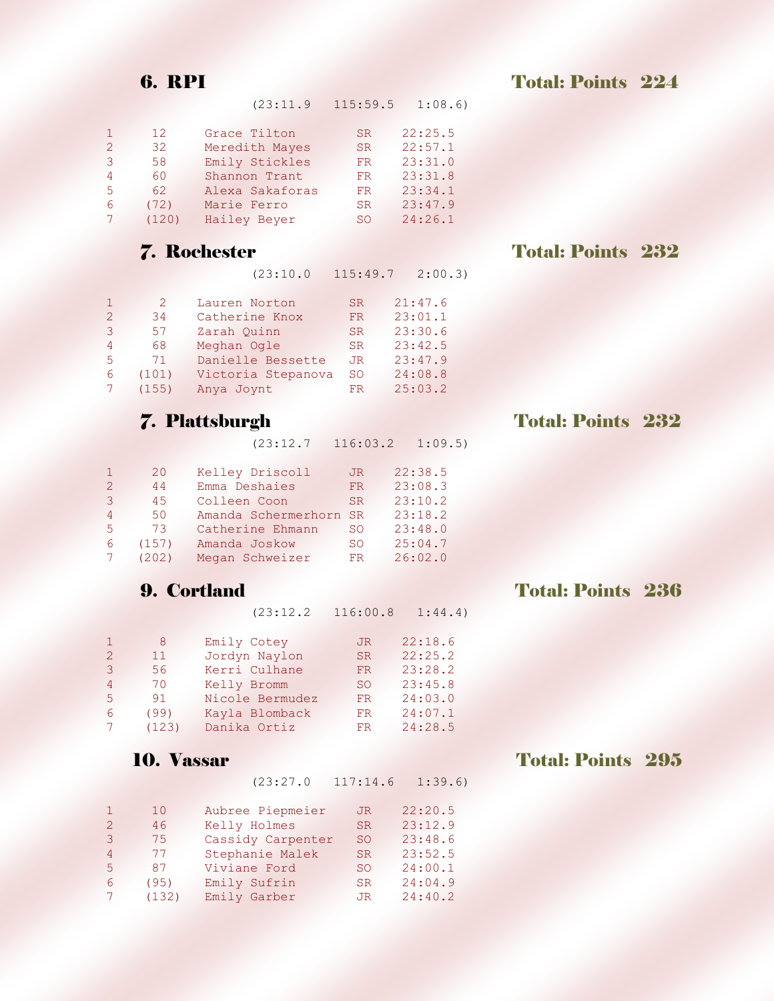**6. RPI Total: Points 224** 

|               | 12    | Grace Tilton    | SR. | 22:25.5 |
|---------------|-------|-----------------|-----|---------|
| $\mathcal{L}$ | 32    | Meredith Mayes  | SR. | 22:57.1 |
| 3             | 58    | Emily Stickles  | FR. | 23:31.0 |
| 4             | 60    | Shannon Trant   | FR. | 23:31.8 |
| 5             | 62    | Alexa Sakaforas | FR. | 23:34.1 |
| 6             | (72)  | Marie Ferro     | SR. | 23:47.9 |
|               | (120) | Hailey Beyer    | SO  | 24:26.1 |

(23:10.0 115:49.7 2:00.3)

(23:11.9 115:59.5 1:08.6)

|               | $\mathcal{P}$ | Lauren Norton      | SR.       | 21:47.6 |
|---------------|---------------|--------------------|-----------|---------|
| $\mathcal{L}$ | 34            | Catherine Knox     | FR.       | 23:01.1 |
| 3             | 57            | Zarah Ouinn        | <b>SR</b> | 23:30.6 |
| 4             | 68            | Meghan Ogle        | SR.       | 23:42.5 |
| 5.            | 71            | Danielle Bessette  | JR.       | 23:47.9 |
| 6             | (101)         | Victoria Stepanova | <b>SO</b> | 24:08.8 |
|               | (155)         | Anya Joynt         | FR        | 25:03.2 |

(23:12.7 116:03.2 1:09.5)

|                | 20    | Kelley Driscoll        | JR.       | 22:38.5 |
|----------------|-------|------------------------|-----------|---------|
| $\overline{2}$ | 44    | Emma Deshaies          | FR.       | 23:08.3 |
| 3              | 4.5   | Colleen Coon           | <b>SR</b> | 23:10.2 |
| 4              | 50    | Amanda Schermerhorn SR |           | 23:18.2 |
| 5.             | 73    | Catherine Ehmann       | <b>SO</b> | 23:48.0 |
| 6              | (157) | Amanda Joskow          | <b>SO</b> | 25:04.7 |
|                | (202) | Megan Schweizer        | FR.       | 26:02.0 |

| $(23:12.2 \quad 116:00.8 \quad 1:44.4)$ |  |
|-----------------------------------------|--|
|-----------------------------------------|--|

|               | 8     | Emily Cotey     | JR. | 22:18.6 |
|---------------|-------|-----------------|-----|---------|
| $\mathcal{P}$ | 11    | Jordyn Naylon   | SR. | 22:25.2 |
| 3             | 56    | Kerri Culhane   | FR. | 23:28.2 |
| 4             | 70    | Kelly Bromm     | SO. | 23:45.8 |
| 5.            | 91    | Nicole Bermudez | FR. | 24:03.0 |
| 6             | (99)  | Kayla Blomback  | FR. | 24:07.1 |
|               | (123) | Danika Ortiz    | FR  | 24:28.5 |

(23:27.0 117:14.6 1:39.6)

|               | 1 O   | Aubree Piepmeier  | JR.             | 22:20.5 |
|---------------|-------|-------------------|-----------------|---------|
| $\mathcal{P}$ | 46    | Kelly Holmes      | SR.             | 23:12.9 |
| 3             | 75    | Cassidy Carpenter | SO.             | 23:48.6 |
| 4             | 77    | Stephanie Malek   | SR.             | 23:52.5 |
| 5.            | 87    | Viviane Ford      | SO <sub>2</sub> | 24:00.1 |
| 6             | (95)  | Emily Sufrin      | SR.             | 24:04.9 |
|               | (132) | Emily Garber      | JR.             | 24:40.2 |

### **7. Rochester Total: Points 232**

## 7. Plattsburgh Total: Points 232

## 9. Cortland Total: Points 236

## 10. Vassar Total: Points 295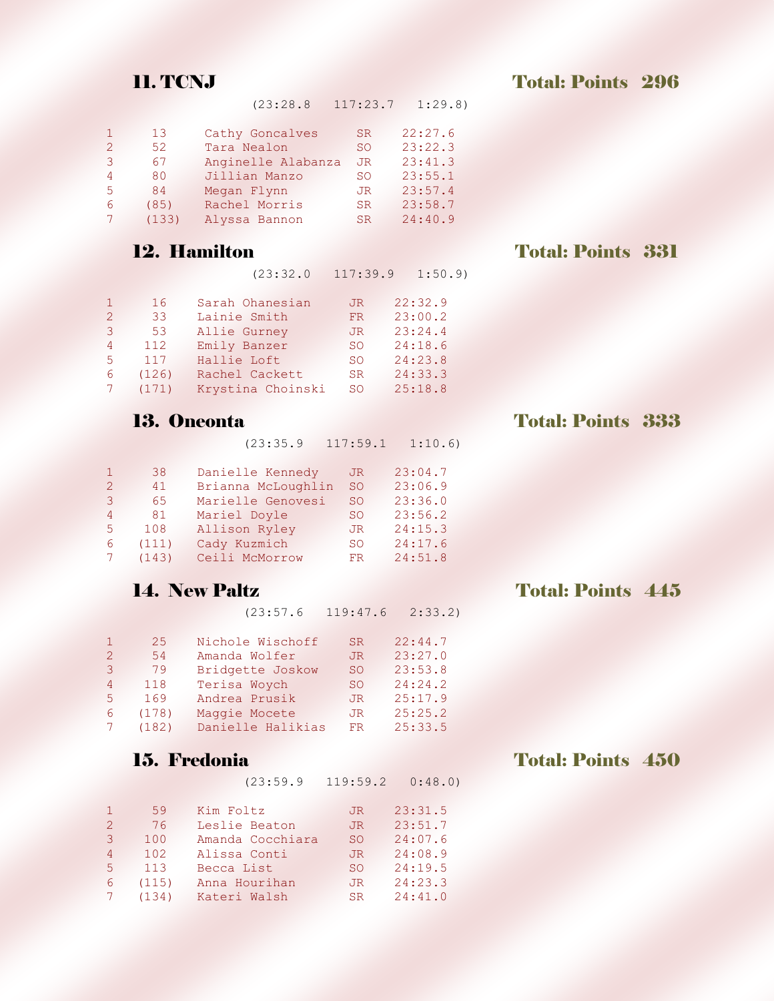11. TCNJ Total: Points 296

| (23:28.8)<br>117:23.7 | 1:29.8 |
|-----------------------|--------|
|-----------------------|--------|

|               | 13    | Cathy Goncalves    | SR. | 22:27.6 |
|---------------|-------|--------------------|-----|---------|
| $\mathcal{P}$ | 52    | Tara Nealon        | SO. | 23:22.3 |
| 3             | 67    | Anginelle Alabanza | JR. | 23:41.3 |
| 4             | 80    | Jillian Manzo      | SO. | 23:55.1 |
| 5.            | 84    | Megan Flynn        | JR. | 23:57.4 |
| 6             | (85)  | Rachel Morris      | SR. | 23:58.7 |
|               | (133) | Alyssa Bannon      | SR. | 24:40.9 |

## 12. Hamilton Total: Points 331

|  | (23:32.0) | 117:39.9 | 1:50.9 |
|--|-----------|----------|--------|
|--|-----------|----------|--------|

|             | 16     | Sarah Ohanesian   | JR. | 22:32.9 |
|-------------|--------|-------------------|-----|---------|
| $2^{\circ}$ | 33     | Lainie Smith      | FR. | 23:00.2 |
| 3           | 53     | Allie Gurney      | JR. | 23:24.4 |
| 4           | 112    | Emily Banzer      | SO. | 24:18.6 |
| 5.          | 117    | Hallie Loft       | SO. | 24:23.8 |
| 6           | (126)  | Rachel Cackett    | SR. | 24:33.3 |
|             | 7(171) | Krystina Choinski | SO. | 25:18.8 |

(23:35.9 117:59.1 1:10.6)

|               | 38    | Danielle Kennedy   | JR.           | 23:04.7 |
|---------------|-------|--------------------|---------------|---------|
| $\mathcal{L}$ | 41    | Brianna McLoughlin | <sub>SO</sub> | 23:06.9 |
| 3             | 65    | Marielle Genovesi  | <b>SO</b>     | 23:36.0 |
| 4             | 81    | Mariel Doyle       | SO.           | 23:56.2 |
| 5.            | 108   | Allison Ryley      | JR.           | 24:15.3 |
| 6             | (111) | Cady Kuzmich       | SO.           | 24:17.6 |
|               | (143) | Ceili McMorrow     | FR.           | 24:51.8 |

(23:57.6 119:47.6 2:33.2)

|                | 2.5   | Nichole Wischoff  | SR. | 22:44.7 |
|----------------|-------|-------------------|-----|---------|
| $\overline{2}$ | 54    | Amanda Wolfer     | JR. | 23:27.0 |
| 3              | 79    | Bridgette Joskow  | SO. | 23:53.8 |
| 4              | 118   | Terisa Woych      | SO. | 24:24.2 |
| 5.             | 169   | Andrea Prusik     | JR. | 25:17.9 |
| 6.             | (178) | Maggie Mocete     | JR. | 25:25.2 |
| $7^{\circ}$    | (182) | Danielle Halikias | FR. | 25:33.5 |

(23:59.9 119:59.2 0:48.0)

|                | 59    | Kim Foltz        | JR. | 23:31.5 |
|----------------|-------|------------------|-----|---------|
| $\overline{2}$ | 76    | Leslie Beaton    | JR. | 23:51.7 |
| 3              | 100   | Amanda Cocchiara | SO. | 24:07.6 |
| 4              | 102   | Alissa Conti     | JR. | 24:08.9 |
| 5.             | 113   | Becca List       | SO. | 24:19.5 |
| 6              | (115) | Anna Hourihan    | JR. | 24:23.3 |
|                | (134) | Kateri Walsh     | SR. | 24:41.0 |

## 14. New Paltz Total: Points 445

## 15. Fredonia **Total: Points 450**

13. Oneonta Total: Points 333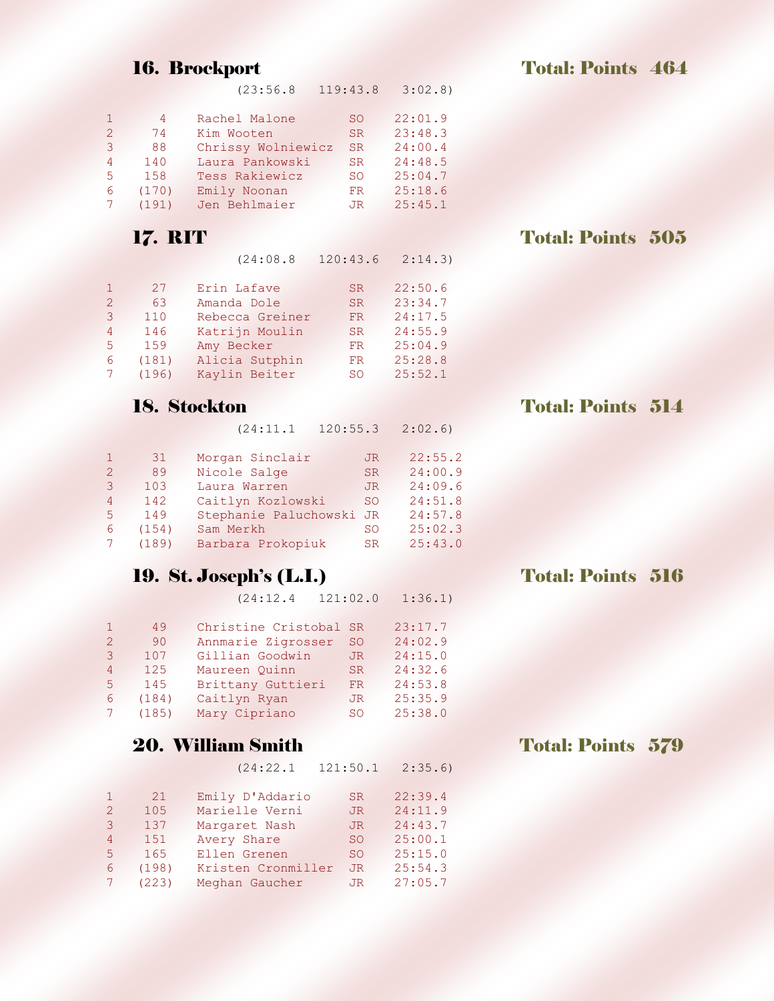| 119:43.8<br>(23:56.8) |  | 3:02.8 |
|-----------------------|--|--------|
|-----------------------|--|--------|

| 1.            | 4     | Rachel Malone      | SO.       | 22:01.9 |
|---------------|-------|--------------------|-----------|---------|
| $\mathcal{P}$ | 74    | Kim Wooten         | SR.       | 23:48.3 |
| 3             | 88    | Chrissy Wolniewicz | SR.       | 24:00.4 |
| 4             | 140   | Laura Pankowski    | SR.       | 24:48.5 |
| 5.            | 1.58  | Tess Rakiewicz     | <b>SO</b> | 25:04.7 |
| 6             | (170) | Emily Noonan       | FR.       | 25:18.6 |
|               | (191) | Jen Behlmaier      | JR.       | 25:45.1 |
|               |       |                    |           |         |

(24:08.8 120:43.6 2:14.3)

|                | 27    | Erin Lafave     | SR. | 22:50.6 |
|----------------|-------|-----------------|-----|---------|
| $\overline{2}$ | 63    | Amanda Dole     | SR. | 23:34.7 |
| 3              | 110   | Rebecca Greiner | FR. | 24:17.5 |
| 4              | 146   | Katrijn Moulin  | SR. | 24:55.9 |
| 5.             | 159   | Amy Becker      | FR. | 25:04.9 |
| 6              | (181) | Alicia Sutphin  | FR. | 25:28.8 |
|                | (196) | Kaylin Beiter   | SO. | 25:52.1 |

(24:11.1 120:55.3 2:02.6)

|                | 31    | Morgan Sinclair          | JR.       | 22:55.2 |
|----------------|-------|--------------------------|-----------|---------|
| $\overline{2}$ | 89    | Nicole Salge             | SR.       | 24:00.9 |
| 3              | 103   | Laura Warren             | JR.       | 24:09.6 |
| 4              | 142   | Caitlyn Kozlowski        | <b>SO</b> | 24:51.8 |
| 5.             | 149   | Stephanie Paluchowski JR |           | 24:57.8 |
| 6              | (154) | Sam Merkh                | SO.       | 25:02.3 |
|                | (189) | Barbara Prokopiuk        | SR.       | 25:43.0 |
|                |       |                          |           |         |

## 19. St. Joseph's (L.I.) Total: Points 516

(24:12.4 121:02.0 1:36.1)

|               | 49    | Christine Cristobal SR |                 | 23:17.7 |
|---------------|-------|------------------------|-----------------|---------|
| $\mathcal{L}$ | 90    | Annmarie Zigrosser     | <sub>SO</sub>   | 24:02.9 |
| 3             | 107   | Gillian Goodwin        | JR.             | 24:15.0 |
| 4             | 125   | Maureen Ouinn          | SR.             | 24:32.6 |
| .5.           | 145   | Brittany Guttieri      | FR.             | 24:53.8 |
| 6             | (184) | Caitlyn Ryan           | JR.             | 25:35.9 |
|               | (185) | Mary Cipriano          | SO <sub>2</sub> | 25:38.0 |

### **20. William Smith Total: Points 579**

(24:22.1 121:50.1 2:35.6)

| 1             | 21    | Emily D'Addario    | SR. | 22:39.4 |
|---------------|-------|--------------------|-----|---------|
| $\mathcal{L}$ | 105   | Marielle Verni     | JR. | 24:11.9 |
| 3             | 137   | Margaret Nash      | JR. | 24:43.7 |
| 4             | 151   | Avery Share        | SO. | 25:00.1 |
| 5.            | 165   | Ellen Grenen       | SO. | 25:15.0 |
| 6             | (198) | Kristen Cronmiller | JR. | 25:54.3 |
|               | (223) | Meghan Gaucher     | JR. | 27:05.7 |

## 17. RIT Total: Points 505

## 18. Stockton Total: Points 514

16. Brockport Total: Points 464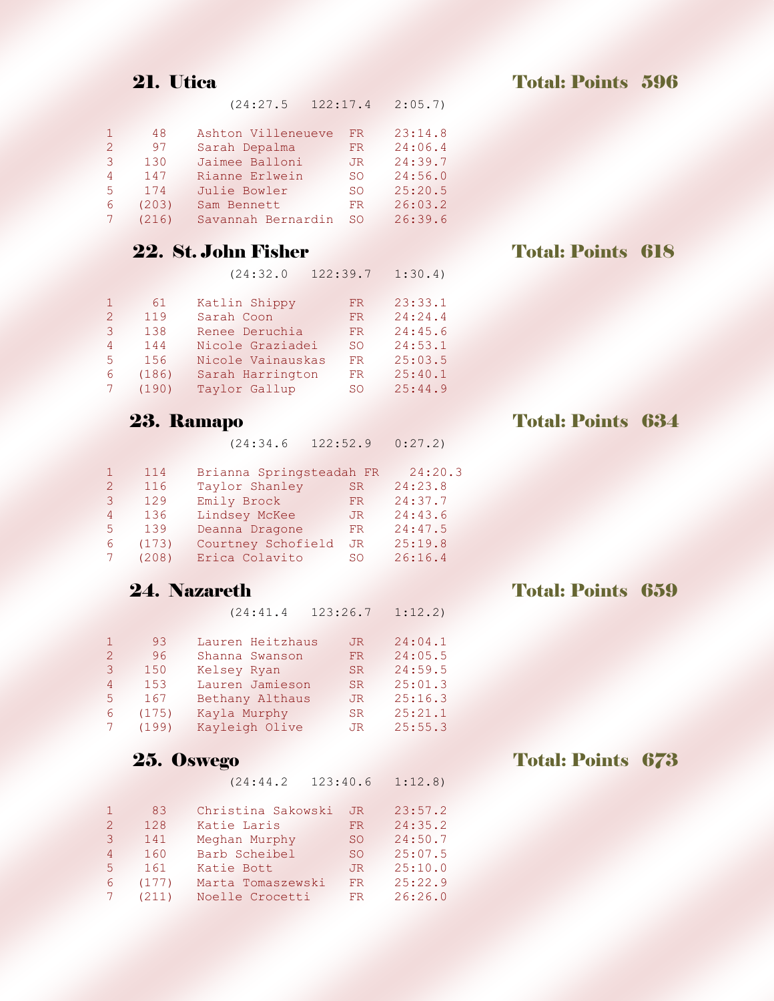(24:27.5 122:17.4 2:05.7)

| $\mathbf{1}$  | 48    | Ashton Villeneueve | FR. | 23:14.8 |
|---------------|-------|--------------------|-----|---------|
| $\mathcal{P}$ | 97    | Sarah Depalma      | FR. | 24:06.4 |
| 3             | 130   | Jaimee Balloni     | JR. | 24:39.7 |
| 4             | 147   | Rianne Erlwein     | SO. | 24:56.0 |
| 5.            | 174   | Julie Bowler       | SO. | 25:20.5 |
| 6             | (203) | Sam Bennett        | FR. | 26:03.2 |
|               | (216) | Savannah Bernardin | SO. | 26:39.6 |
|               |       |                    |     |         |

|               |       | (24:32.0          | 122:39.7  | 1:30.4  |
|---------------|-------|-------------------|-----------|---------|
|               | 61    | Katlin Shippy     | FR.       | 23:33.1 |
| $\mathcal{L}$ | 119   | Sarah Coon        | <b>FR</b> | 24:24.4 |
| 3             | 138   | Renee Deruchia    | FR.       | 24:45.6 |
| 4             | 144   | Nicole Graziadei  | <b>SO</b> | 24:53.1 |
| 5.            | 156   | Nicole Vainauskas | FR        | 25:03.5 |
| 6             | (186) | Sarah Harrington  | <b>FR</b> | 25:40.1 |
|               | (190) | Taylor Gallup     | SO.       | 25:44.9 |

(24:34.6 122:52.9 0:27.2)

|               | 114   | Brianna Springsteadah FR |     | 24:20.3 |
|---------------|-------|--------------------------|-----|---------|
| $\mathcal{P}$ | 116   | Taylor Shanley           | SR. | 24:23.8 |
| 3             | 129   | Emily Brock              | FR. | 24:37.7 |
| 4             | 136   | Lindsey McKee            | JR. | 24:43.6 |
| 5.            | 139   | Deanna Dragone           | FR. | 24:47.5 |
| 6             | (173) | Courtney Schofield       | JR. | 25:19.8 |
|               | (208) | Erica Colavito           | SO  | 26:16.4 |

(24:41.4 123:26.7 1:12.2)

|             | 93    | Lauren Heitzhaus | JR.       | 24:04.1 |
|-------------|-------|------------------|-----------|---------|
| $2^{1}$     | 96    | Shanna Swanson   | FR.       | 24:05.5 |
| 3           | 150   | Kelsey Ryan      | SR.       | 24:59.5 |
| 4           | 153   | Lauren Jamieson  | SR.       | 25:01.3 |
| 5.          | 167   | Bethany Althaus  | JR.       | 25:16.3 |
| 6           | (175) | Kayla Murphy     | <b>SR</b> | 25:21.1 |
| $7^{\circ}$ | (199) | Kayleigh Olive   | JR.       | 25:55.3 |

(24:44.2 123:40.6 1:12.8)

| 1.             | 83    | Christina Sakowski | JR.       | 23:57.2 |
|----------------|-------|--------------------|-----------|---------|
| 2 <sup>1</sup> | 128   | Katie Laris        | <b>FR</b> | 24:35.2 |
| 3              | 141   | Meghan Murphy      | SO.       | 24:50.7 |
| 4              | 160   | Barb Scheibel      | SO.       | 25:07.5 |
| .5.            | 161   | Katie Bott         | JR.       | 25:10.0 |
| 6              | (177) | Marta Tomaszewski  | FR.       | 25:22.9 |
|                | (211) | Noelle Crocetti    | FR.       | 26:26.0 |

### 22. St. John Fisher Total: Points 618

## 23. Ramapo Total: Points 634

## **24. Nazareth Total: Points 659**

## 25. Oswego Total: Points 673

21. Utica Total: Points 596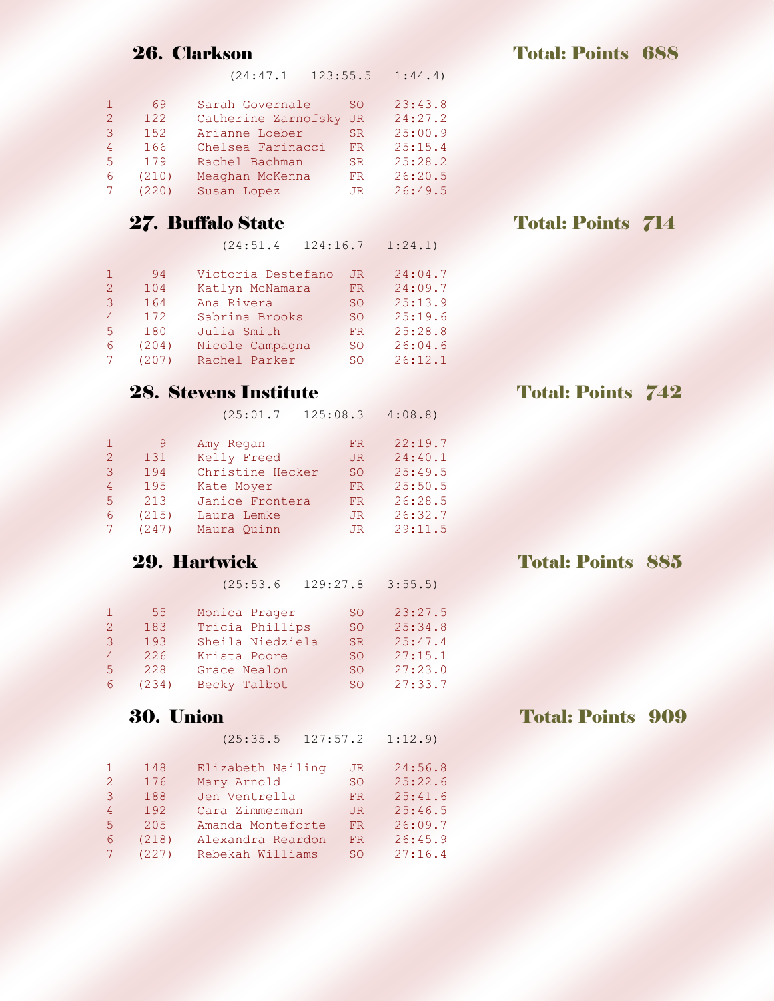(24:47.1 123:55.5 1:44.4)

| $\mathbf{1}$ | 69    | Sarah Governale     | SO. | 23:43.8 |
|--------------|-------|---------------------|-----|---------|
| $2^{\circ}$  | 122   | Catherine Zarnofsky | JR. | 24:27.2 |
| 3            | 152   | Arianne Loeber      | SR. | 25:00.9 |
| 4            | 166   | Chelsea Farinacci   | FR. | 25:15.4 |
| $5 -$        | 179   | Rachel Bachman      | SR. | 25:28.2 |
| 6.           | (210) | Meaghan McKenna     | FR. | 26:20.5 |
|              | (220) | Susan Lopez         | JR. | 26:49.5 |

(24:51.4 124:16.7 1:24.1)

| 1.          | 94    | Victoria Destefano | JR.           | 24:04.7 |
|-------------|-------|--------------------|---------------|---------|
| $2^{\circ}$ | 104   | Katlyn McNamara    | FR.           | 24:09.7 |
| 3.          | 164   | Ana Rivera         | <b>SO</b>     | 25:13.9 |
| 4           | 172   | Sabrina Brooks     | <sub>SO</sub> | 25:19.6 |
| 5.          | 180   | Julia Smith        | FR.           | 25:28.8 |
| 6           | (204) | Nicole Campagna    | SO.           | 26:04.6 |
|             | (207) | Rachel Parker      | SO.           | 26:12.1 |

## 28. Stevens Institute Total: Points 742

(25:01.7 125:08.3 4:08.8)

| 1.             | 9     | Amy Regan        | FR.       | 22:19.7 |
|----------------|-------|------------------|-----------|---------|
| $2^{\circ}$    | 131   | Kelly Freed      | JR.       | 24:40.1 |
| 3              | 194   | Christine Hecker | <b>SO</b> | 25:49.5 |
| $\overline{4}$ | 195   | Kate Mover       | FR.       | 25:50.5 |
| 5.             | 213   | Janice Frontera  | FR.       | 26:28.5 |
| 6              | (215) | Laura Lemke      | JR.       | 26:32.7 |
|                | (247) | Maura Ouinn      | JR.       | 29:11.5 |

(25:53.6 129:27.8 3:55.5)

|             | 55 <sub>1</sub> | Monica Prager    | SO.       | 23:27.5 |
|-------------|-----------------|------------------|-----------|---------|
| $2^{\circ}$ | 183             | Tricia Phillips  | SO.       | 25:34.8 |
| 3           | 193             | Sheila Niedziela | SR.       | 25:47.4 |
| 4           | 226             | Krista Poore     | SO.       | 27:15.1 |
| 5.          | 228             | Grace Nealon     | <b>SO</b> | 27:23.0 |
| 6           | (234)           | Becky Talbot     | SO.       | 27:33.7 |

### 30. Union Total: Points 909

(25:35.5 127:57.2 1:12.9)

|                | 148   | Elizabeth Nailing | JR.           | 24:56.8 |
|----------------|-------|-------------------|---------------|---------|
| $2^{\circ}$    | 176   | Mary Arnold       | <b>SO</b>     | 25:22.6 |
| 3              | 188   | Jen Ventrella     | FR.           | 25:41.6 |
| 4              | 192   | Cara Zimmerman    | JR.           | 25:46.5 |
| 5 <sup>1</sup> | 205   | Amanda Monteforte | FR            | 26:09.7 |
| 6              | (218) | Alexandra Reardon | FR            | 26:45.9 |
|                | (227) | Rebekah Williams  | <sub>SO</sub> | 27:16.4 |

### 27. Buffalo State Total: Points 714

## **29. Hartwick Total: Points 885**

26. Clarkson Total: Points 688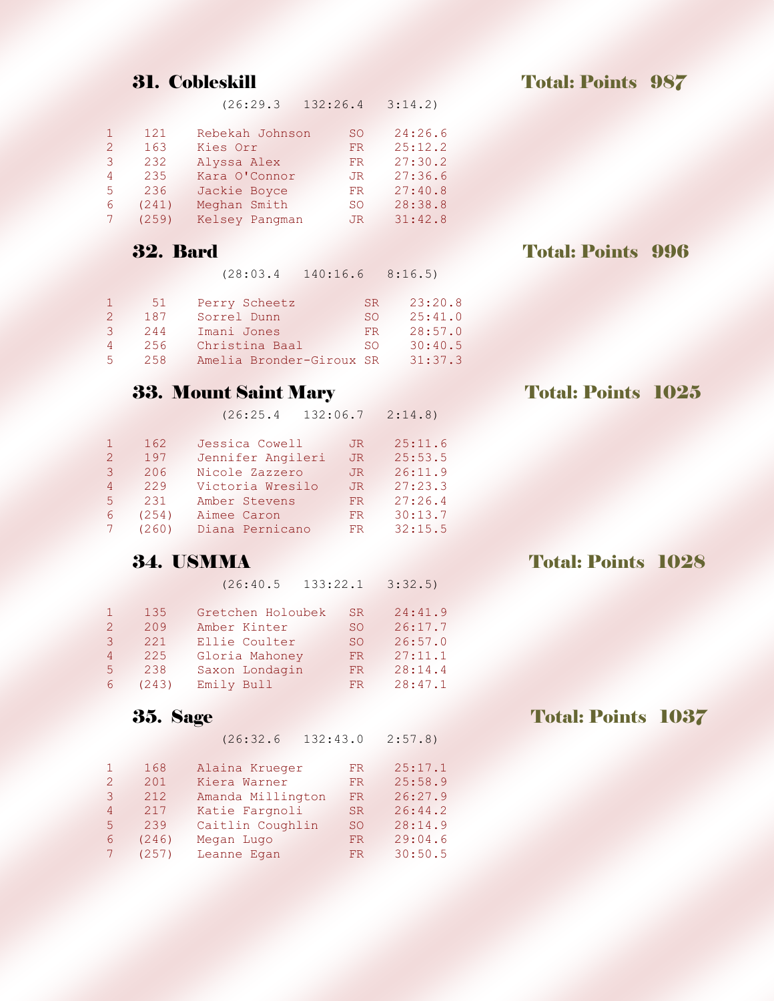(26:29.3 132:26.4 3:14.2)

| $\mathbf{1}$ | 121   | Rebekah Johnson | SO. | 24:26.6 |
|--------------|-------|-----------------|-----|---------|
| $2^{\circ}$  | 163   | Kies Orr        | FR. | 25:12.2 |
| 3            | 232   | Alyssa Alex     | FR. | 27:30.2 |
| 4            | 235   | Kara O'Connor   | JR. | 27:36.6 |
| 5.           | 236   | Jackie Boyce    | FR. | 27:40.8 |
| 6            | (241) | Meghan Smith    | SO. | 28:38.8 |
|              | (259) | Kelsey Pangman  | JR. | 31:42.8 |

### 32. Bard Total: Points 996

(28:03.4 140:16.6 8:16.5)

|                | 51  | Perry Scheetz            | SR. | 23:20.8 |
|----------------|-----|--------------------------|-----|---------|
| $\mathcal{P}$  | 187 | Sorrel Dunn              | SO. | 25:41.0 |
| $\mathcal{R}$  | 244 | Imani Jones              | FR  | 28:57.0 |
| $\overline{4}$ | 256 | Christina Baal           | SO. | 30:40.5 |
| 5.             | 258 | Amelia Bronder-Giroux SR |     | 31:37.3 |

## **33. Mount Saint Mary Total: Points 1025**

(26:25.4 132:06.7 2:14.8)

|                | 162   | Jessica Cowell    | JR. | 25:11.6 |
|----------------|-------|-------------------|-----|---------|
| 2 <sup>1</sup> | 197   | Jennifer Angileri | JR. | 25:53.5 |
| 3              | 206   | Nicole Zazzero    | JR. | 26:11.9 |
| 4              | 229   | Victoria Wresilo  | JR. | 27:23.3 |
| 5.             | 231   | Amber Stevens     | FR. | 27:26.4 |
| 6              | (254) | Aimee Caron       | FR. | 30:13.7 |
|                | (260) | Diana Pernicano   | FR. | 32:15.5 |

## **34. USMMA** Total: Points 1028

(26:40.5 133:22.1 3:32.5)

|               | 135   | Gretchen Holoubek | SR. | 24:41.9 |
|---------------|-------|-------------------|-----|---------|
| $\mathcal{P}$ | 209   | Amber Kinter      | SO. | 26:17.7 |
| 3             | 221   | Ellie Coulter     | SO. | 26:57.0 |
| 4             | 225   | Gloria Mahoney    | FR. | 27:11.1 |
| 5.            | 238   | Saxon Londagin    | FR. | 28:14.4 |
| 6             | (243) | Emily Bull        | FR. | 28:47.1 |

(26:32.6 132:43.0 2:57.8)

|               | 168   | Alaina Krueger    | FR.           | 25:17.1 |
|---------------|-------|-------------------|---------------|---------|
| $\mathcal{L}$ | 201   | Kiera Warner      | FR            | 25:58.9 |
| 3             | 212   | Amanda Millington | <b>FR</b>     | 26:27.9 |
| 4             | 217   | Katie Fargnoli    | SR.           | 26:44.2 |
| 5.            | 239   | Caitlin Coughlin  | <sub>SO</sub> | 28:14.9 |
| 6             | (246) | Megan Lugo        | FR.           | 29:04.6 |
|               | (257) | Leanne Egan       | FR.           | 30:50.5 |

**35.** Sage Total: Points 1037

**31. Cobleskill Total: Points 987**